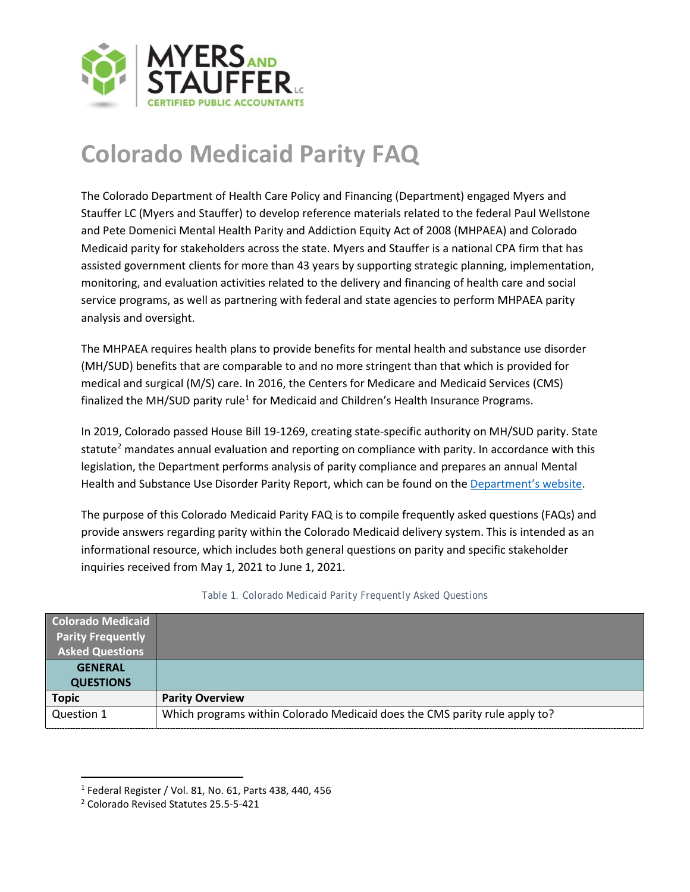

## **Colorado Medicaid Parity FAQ**

The Colorado Department of Health Care Policy and Financing (Department) engaged Myers and Stauffer LC (Myers and Stauffer) to develop reference materials related to the federal Paul Wellstone and Pete Domenici Mental Health Parity and Addiction Equity Act of 2008 (MHPAEA) and Colorado Medicaid parity for stakeholders across the state. Myers and Stauffer is a national CPA firm that has assisted government clients for more than 43 years by supporting strategic planning, implementation, monitoring, and evaluation activities related to the delivery and financing of health care and social service programs, as well as partnering with federal and state agencies to perform MHPAEA parity analysis and oversight.

The MHPAEA requires health plans to provide benefits for mental health and substance use disorder (MH/SUD) benefits that are comparable to and no more stringent than that which is provided for medical and surgical (M/S) care. In 2016, the Centers for Medicare and Medicaid Services (CMS) finalized the MH/SUD parity rule<sup>[1](#page-0-0)</sup> for Medicaid and Children's Health Insurance Programs.

In 2019, Colorado passed House Bill 19-1269, creating state-specific authority on MH/SUD parity. State statute<sup>2</sup> mandates annual evaluation and reporting on compliance with parity. In accordance with this legislation, the Department performs analysis of parity compliance and prepares an annual Mental Health and Substance Use Disorder Parity Report, which can be found on th[e Department's website.](https://hcpf.colorado.gov/regulatory-resource-center)

The purpose of this Colorado Medicaid Parity FAQ is to compile frequently asked questions (FAQs) and provide answers regarding parity within the Colorado Medicaid delivery system. This is intended as an informational resource, which includes both general questions on parity and specific stakeholder inquiries received from May 1, 2021 to June 1, 2021.

| Colorado Medicaid        |                                                                            |
|--------------------------|----------------------------------------------------------------------------|
| <b>Parity Frequently</b> |                                                                            |
| <b>Asked Questions</b>   |                                                                            |
| <b>GENERAL</b>           |                                                                            |
| <b>QUESTIONS</b>         |                                                                            |
| <b>Topic</b>             | <b>Parity Overview</b>                                                     |
| Question 1               | Which programs within Colorado Medicaid does the CMS parity rule apply to? |

## *Table 1. Colorado Medicaid Parity Frequently Asked Questions*

<span id="page-0-0"></span><sup>1</sup> Federal Register / Vol. 81, No. 61, Parts 438, 440, 456

<span id="page-0-1"></span><sup>2</sup> Colorado Revised Statutes 25.5-5-421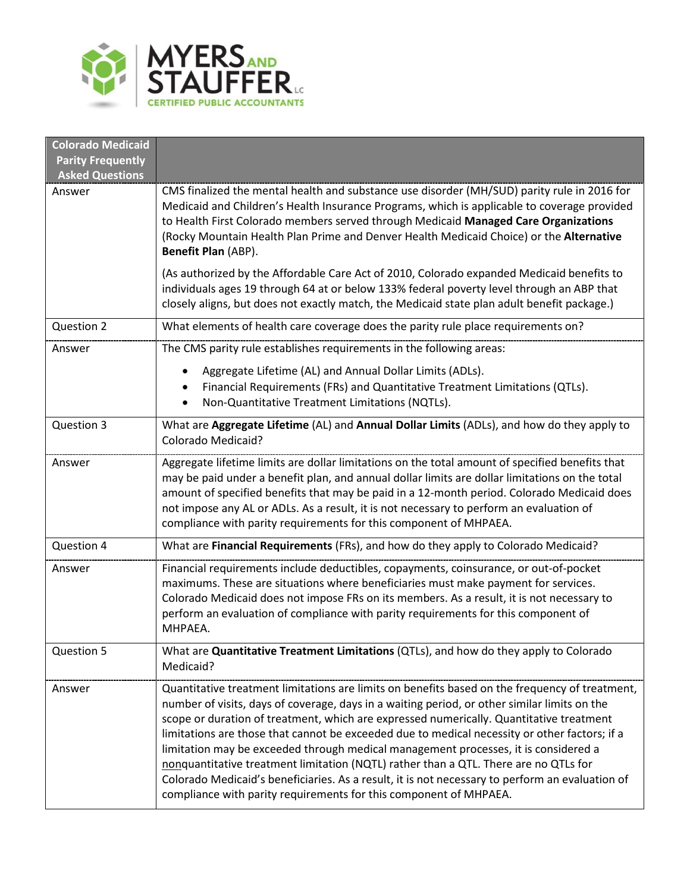

| <b>Colorado Medicaid</b><br><b>Parity Frequently</b><br><b>Asked Questions</b> |                                                                                                                                                                                                                                                                                                                                                                                                                                                                                                                                                                                                                                                                                                                                                   |  |  |
|--------------------------------------------------------------------------------|---------------------------------------------------------------------------------------------------------------------------------------------------------------------------------------------------------------------------------------------------------------------------------------------------------------------------------------------------------------------------------------------------------------------------------------------------------------------------------------------------------------------------------------------------------------------------------------------------------------------------------------------------------------------------------------------------------------------------------------------------|--|--|
| Answer                                                                         | CMS finalized the mental health and substance use disorder (MH/SUD) parity rule in 2016 for<br>Medicaid and Children's Health Insurance Programs, which is applicable to coverage provided<br>to Health First Colorado members served through Medicaid Managed Care Organizations<br>(Rocky Mountain Health Plan Prime and Denver Health Medicaid Choice) or the Alternative<br>Benefit Plan (ABP).                                                                                                                                                                                                                                                                                                                                               |  |  |
|                                                                                | (As authorized by the Affordable Care Act of 2010, Colorado expanded Medicaid benefits to<br>individuals ages 19 through 64 at or below 133% federal poverty level through an ABP that<br>closely aligns, but does not exactly match, the Medicaid state plan adult benefit package.)                                                                                                                                                                                                                                                                                                                                                                                                                                                             |  |  |
| Question 2                                                                     | What elements of health care coverage does the parity rule place requirements on?                                                                                                                                                                                                                                                                                                                                                                                                                                                                                                                                                                                                                                                                 |  |  |
| Answer                                                                         | The CMS parity rule establishes requirements in the following areas:                                                                                                                                                                                                                                                                                                                                                                                                                                                                                                                                                                                                                                                                              |  |  |
|                                                                                | Aggregate Lifetime (AL) and Annual Dollar Limits (ADLs).<br>Financial Requirements (FRs) and Quantitative Treatment Limitations (QTLs).<br>$\bullet$<br>Non-Quantitative Treatment Limitations (NQTLs).<br>$\bullet$                                                                                                                                                                                                                                                                                                                                                                                                                                                                                                                              |  |  |
| Question 3                                                                     | What are Aggregate Lifetime (AL) and Annual Dollar Limits (ADLs), and how do they apply to<br><b>Colorado Medicaid?</b>                                                                                                                                                                                                                                                                                                                                                                                                                                                                                                                                                                                                                           |  |  |
| Answer                                                                         | Aggregate lifetime limits are dollar limitations on the total amount of specified benefits that<br>may be paid under a benefit plan, and annual dollar limits are dollar limitations on the total<br>amount of specified benefits that may be paid in a 12-month period. Colorado Medicaid does<br>not impose any AL or ADLs. As a result, it is not necessary to perform an evaluation of<br>compliance with parity requirements for this component of MHPAEA.                                                                                                                                                                                                                                                                                   |  |  |
| Question 4                                                                     | What are Financial Requirements (FRs), and how do they apply to Colorado Medicaid?                                                                                                                                                                                                                                                                                                                                                                                                                                                                                                                                                                                                                                                                |  |  |
| Answer                                                                         | Financial requirements include deductibles, copayments, coinsurance, or out-of-pocket<br>maximums. These are situations where beneficiaries must make payment for services.<br>Colorado Medicaid does not impose FRs on its members. As a result, it is not necessary to<br>perform an evaluation of compliance with parity requirements for this component of<br>MHPAEA.                                                                                                                                                                                                                                                                                                                                                                         |  |  |
| Question 5                                                                     | What are Quantitative Treatment Limitations (QTLs), and how do they apply to Colorado<br>Medicaid?                                                                                                                                                                                                                                                                                                                                                                                                                                                                                                                                                                                                                                                |  |  |
| Answer                                                                         | Quantitative treatment limitations are limits on benefits based on the frequency of treatment,<br>number of visits, days of coverage, days in a waiting period, or other similar limits on the<br>scope or duration of treatment, which are expressed numerically. Quantitative treatment<br>limitations are those that cannot be exceeded due to medical necessity or other factors; if a<br>limitation may be exceeded through medical management processes, it is considered a<br>nonquantitative treatment limitation (NQTL) rather than a QTL. There are no QTLs for<br>Colorado Medicaid's beneficiaries. As a result, it is not necessary to perform an evaluation of<br>compliance with parity requirements for this component of MHPAEA. |  |  |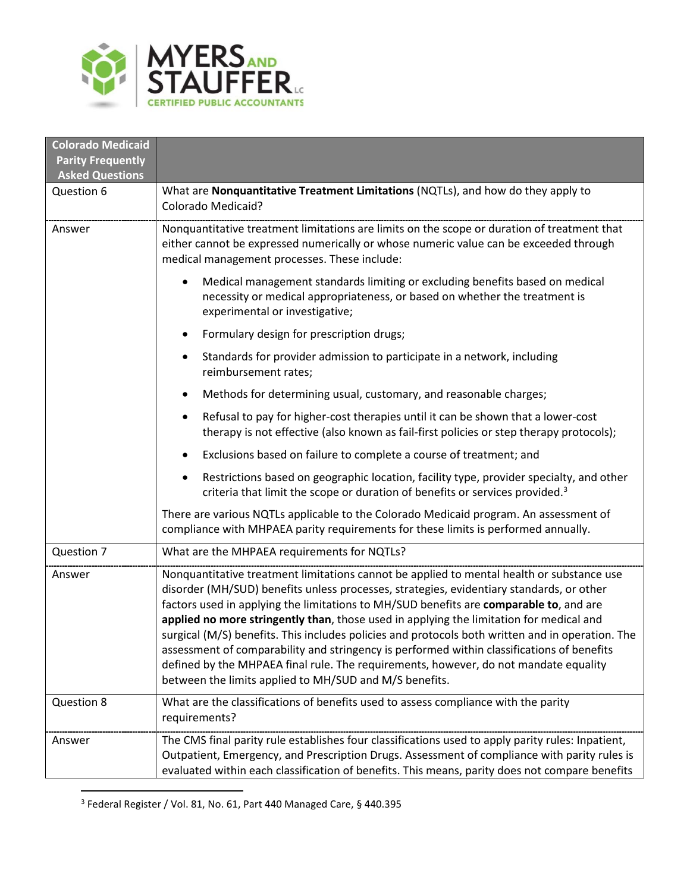

| <b>Colorado Medicaid</b><br><b>Parity Frequently</b> |                                                                                                                                                                                                                                                                                                                                                                                                                                                                                                                                                                                                                                                                                                                                |  |
|------------------------------------------------------|--------------------------------------------------------------------------------------------------------------------------------------------------------------------------------------------------------------------------------------------------------------------------------------------------------------------------------------------------------------------------------------------------------------------------------------------------------------------------------------------------------------------------------------------------------------------------------------------------------------------------------------------------------------------------------------------------------------------------------|--|
| <b>Asked Questions</b>                               |                                                                                                                                                                                                                                                                                                                                                                                                                                                                                                                                                                                                                                                                                                                                |  |
| Question 6                                           | What are Nonquantitative Treatment Limitations (NQTLs), and how do they apply to<br><b>Colorado Medicaid?</b>                                                                                                                                                                                                                                                                                                                                                                                                                                                                                                                                                                                                                  |  |
| Answer                                               | Nonquantitative treatment limitations are limits on the scope or duration of treatment that<br>either cannot be expressed numerically or whose numeric value can be exceeded through<br>medical management processes. These include:                                                                                                                                                                                                                                                                                                                                                                                                                                                                                           |  |
|                                                      | Medical management standards limiting or excluding benefits based on medical<br>$\bullet$<br>necessity or medical appropriateness, or based on whether the treatment is<br>experimental or investigative;                                                                                                                                                                                                                                                                                                                                                                                                                                                                                                                      |  |
|                                                      | Formulary design for prescription drugs;<br>٠                                                                                                                                                                                                                                                                                                                                                                                                                                                                                                                                                                                                                                                                                  |  |
|                                                      | Standards for provider admission to participate in a network, including<br>$\bullet$<br>reimbursement rates;                                                                                                                                                                                                                                                                                                                                                                                                                                                                                                                                                                                                                   |  |
|                                                      | Methods for determining usual, customary, and reasonable charges;<br>$\bullet$                                                                                                                                                                                                                                                                                                                                                                                                                                                                                                                                                                                                                                                 |  |
|                                                      | Refusal to pay for higher-cost therapies until it can be shown that a lower-cost<br>٠<br>therapy is not effective (also known as fail-first policies or step therapy protocols);                                                                                                                                                                                                                                                                                                                                                                                                                                                                                                                                               |  |
|                                                      | Exclusions based on failure to complete a course of treatment; and<br>$\bullet$                                                                                                                                                                                                                                                                                                                                                                                                                                                                                                                                                                                                                                                |  |
|                                                      | Restrictions based on geographic location, facility type, provider specialty, and other<br>$\bullet$<br>criteria that limit the scope or duration of benefits or services provided. <sup>3</sup>                                                                                                                                                                                                                                                                                                                                                                                                                                                                                                                               |  |
|                                                      | There are various NQTLs applicable to the Colorado Medicaid program. An assessment of<br>compliance with MHPAEA parity requirements for these limits is performed annually.                                                                                                                                                                                                                                                                                                                                                                                                                                                                                                                                                    |  |
| Question 7                                           | What are the MHPAEA requirements for NQTLs?                                                                                                                                                                                                                                                                                                                                                                                                                                                                                                                                                                                                                                                                                    |  |
| Answer                                               | Nonquantitative treatment limitations cannot be applied to mental health or substance use<br>disorder (MH/SUD) benefits unless processes, strategies, evidentiary standards, or other<br>factors used in applying the limitations to MH/SUD benefits are comparable to, and are<br>applied no more stringently than, those used in applying the limitation for medical and<br>surgical (M/S) benefits. This includes policies and protocols both written and in operation. The<br>assessment of comparability and stringency is performed within classifications of benefits<br>defined by the MHPAEA final rule. The requirements, however, do not mandate equality<br>between the limits applied to MH/SUD and M/S benefits. |  |
| Question 8                                           | What are the classifications of benefits used to assess compliance with the parity<br>requirements?                                                                                                                                                                                                                                                                                                                                                                                                                                                                                                                                                                                                                            |  |
| Answer                                               | The CMS final parity rule establishes four classifications used to apply parity rules: Inpatient,<br>Outpatient, Emergency, and Prescription Drugs. Assessment of compliance with parity rules is<br>evaluated within each classification of benefits. This means, parity does not compare benefits                                                                                                                                                                                                                                                                                                                                                                                                                            |  |

<span id="page-2-0"></span> $3$  Federal Register / Vol. 81, No. 61, Part 440 Managed Care, § 440.395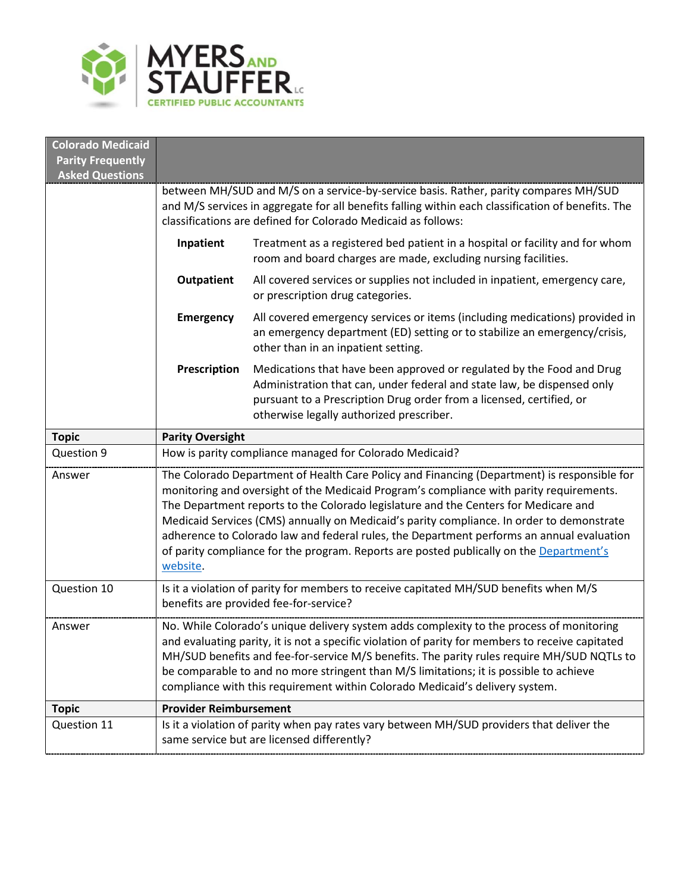

| <b>Colorado Medicaid</b>                           |                                                                                                                                                                                                                                                                                                                                                                                                                                                                                                                                                                                |                                                                                                                                                                                                                                                                      |  |
|----------------------------------------------------|--------------------------------------------------------------------------------------------------------------------------------------------------------------------------------------------------------------------------------------------------------------------------------------------------------------------------------------------------------------------------------------------------------------------------------------------------------------------------------------------------------------------------------------------------------------------------------|----------------------------------------------------------------------------------------------------------------------------------------------------------------------------------------------------------------------------------------------------------------------|--|
| <b>Parity Frequently</b><br><b>Asked Questions</b> |                                                                                                                                                                                                                                                                                                                                                                                                                                                                                                                                                                                |                                                                                                                                                                                                                                                                      |  |
|                                                    | between MH/SUD and M/S on a service-by-service basis. Rather, parity compares MH/SUD<br>and M/S services in aggregate for all benefits falling within each classification of benefits. The<br>classifications are defined for Colorado Medicaid as follows:                                                                                                                                                                                                                                                                                                                    |                                                                                                                                                                                                                                                                      |  |
|                                                    | Inpatient                                                                                                                                                                                                                                                                                                                                                                                                                                                                                                                                                                      | Treatment as a registered bed patient in a hospital or facility and for whom<br>room and board charges are made, excluding nursing facilities.                                                                                                                       |  |
|                                                    | <b>Outpatient</b>                                                                                                                                                                                                                                                                                                                                                                                                                                                                                                                                                              | All covered services or supplies not included in inpatient, emergency care,<br>or prescription drug categories.                                                                                                                                                      |  |
|                                                    | <b>Emergency</b>                                                                                                                                                                                                                                                                                                                                                                                                                                                                                                                                                               | All covered emergency services or items (including medications) provided in<br>an emergency department (ED) setting or to stabilize an emergency/crisis,<br>other than in an inpatient setting.                                                                      |  |
|                                                    | Prescription                                                                                                                                                                                                                                                                                                                                                                                                                                                                                                                                                                   | Medications that have been approved or regulated by the Food and Drug<br>Administration that can, under federal and state law, be dispensed only<br>pursuant to a Prescription Drug order from a licensed, certified, or<br>otherwise legally authorized prescriber. |  |
| <b>Topic</b>                                       | <b>Parity Oversight</b>                                                                                                                                                                                                                                                                                                                                                                                                                                                                                                                                                        |                                                                                                                                                                                                                                                                      |  |
| Question 9                                         | How is parity compliance managed for Colorado Medicaid?                                                                                                                                                                                                                                                                                                                                                                                                                                                                                                                        |                                                                                                                                                                                                                                                                      |  |
| Answer                                             | The Colorado Department of Health Care Policy and Financing (Department) is responsible for<br>monitoring and oversight of the Medicaid Program's compliance with parity requirements.<br>The Department reports to the Colorado legislature and the Centers for Medicare and<br>Medicaid Services (CMS) annually on Medicaid's parity compliance. In order to demonstrate<br>adherence to Colorado law and federal rules, the Department performs an annual evaluation<br>of parity compliance for the program. Reports are posted publically on the Department's<br>website. |                                                                                                                                                                                                                                                                      |  |
| Question 10                                        | Is it a violation of parity for members to receive capitated MH/SUD benefits when M/S<br>benefits are provided fee-for-service?                                                                                                                                                                                                                                                                                                                                                                                                                                                |                                                                                                                                                                                                                                                                      |  |
| Answer                                             | No. While Colorado's unique delivery system adds complexity to the process of monitoring<br>and evaluating parity, it is not a specific violation of parity for members to receive capitated<br>MH/SUD benefits and fee-for-service M/S benefits. The parity rules require MH/SUD NQTLs to<br>be comparable to and no more stringent than M/S limitations; it is possible to achieve<br>compliance with this requirement within Colorado Medicaid's delivery system.                                                                                                           |                                                                                                                                                                                                                                                                      |  |
| <b>Topic</b>                                       | <b>Provider Reimbursement</b>                                                                                                                                                                                                                                                                                                                                                                                                                                                                                                                                                  |                                                                                                                                                                                                                                                                      |  |
| Question 11                                        |                                                                                                                                                                                                                                                                                                                                                                                                                                                                                                                                                                                | Is it a violation of parity when pay rates vary between MH/SUD providers that deliver the<br>same service but are licensed differently?                                                                                                                              |  |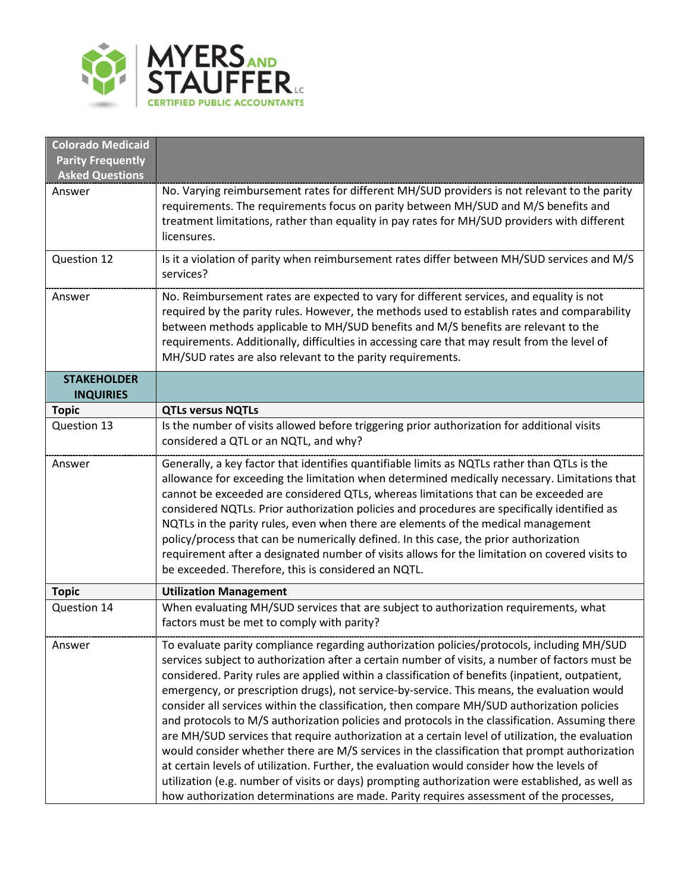

| No. Varying reimbursement rates for different MH/SUD providers is not relevant to the parity                                                                                                        |
|-----------------------------------------------------------------------------------------------------------------------------------------------------------------------------------------------------|
| requirements. The requirements focus on parity between MH/SUD and M/S benefits and                                                                                                                  |
| treatment limitations, rather than equality in pay rates for MH/SUD providers with different                                                                                                        |
|                                                                                                                                                                                                     |
| Is it a violation of parity when reimbursement rates differ between MH/SUD services and M/S                                                                                                         |
|                                                                                                                                                                                                     |
| No. Reimbursement rates are expected to vary for different services, and equality is not                                                                                                            |
| required by the parity rules. However, the methods used to establish rates and comparability                                                                                                        |
| between methods applicable to MH/SUD benefits and M/S benefits are relevant to the                                                                                                                  |
| requirements. Additionally, difficulties in accessing care that may result from the level of                                                                                                        |
|                                                                                                                                                                                                     |
|                                                                                                                                                                                                     |
|                                                                                                                                                                                                     |
|                                                                                                                                                                                                     |
| Is the number of visits allowed before triggering prior authorization for additional visits                                                                                                         |
|                                                                                                                                                                                                     |
| Generally, a key factor that identifies quantifiable limits as NQTLs rather than QTLs is the                                                                                                        |
| allowance for exceeding the limitation when determined medically necessary. Limitations that                                                                                                        |
| cannot be exceeded are considered QTLs, whereas limitations that can be exceeded are                                                                                                                |
| considered NQTLs. Prior authorization policies and procedures are specifically identified as                                                                                                        |
| NQTLs in the parity rules, even when there are elements of the medical management                                                                                                                   |
| policy/process that can be numerically defined. In this case, the prior authorization                                                                                                               |
| requirement after a designated number of visits allows for the limitation on covered visits to                                                                                                      |
|                                                                                                                                                                                                     |
|                                                                                                                                                                                                     |
| When evaluating MH/SUD services that are subject to authorization requirements, what                                                                                                                |
|                                                                                                                                                                                                     |
| To evaluate parity compliance regarding authorization policies/protocols, including MH/SUD                                                                                                          |
| services subject to authorization after a certain number of visits, a number of factors must be                                                                                                     |
| considered. Parity rules are applied within a classification of benefits (inpatient, outpatient,                                                                                                    |
| emergency, or prescription drugs), not service-by-service. This means, the evaluation would                                                                                                         |
| consider all services within the classification, then compare MH/SUD authorization policies                                                                                                         |
| and protocols to M/S authorization policies and protocols in the classification. Assuming there<br>are MH/SUD services that require authorization at a certain level of utilization, the evaluation |
| would consider whether there are M/S services in the classification that prompt authorization                                                                                                       |
| at certain levels of utilization. Further, the evaluation would consider how the levels of                                                                                                          |
|                                                                                                                                                                                                     |
| utilization (e.g. number of visits or days) prompting authorization were established, as well as                                                                                                    |
|                                                                                                                                                                                                     |